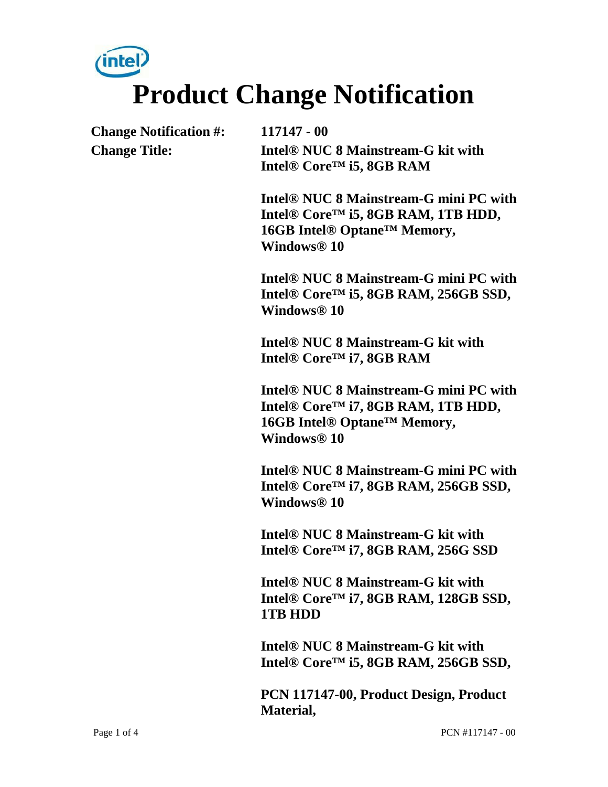# intel **Product Change Notification**

**Change Notification #: 117147 - 00**

**Change Title: Intel® NUC 8 Mainstream-G kit with Intel® Core™ i5, 8GB RAM** 

> **Intel® NUC 8 Mainstream-G mini PC with Intel® Core™ i5, 8GB RAM, 1TB HDD, 16GB Intel® Optane™ Memory, Windows® 10**

> **Intel® NUC 8 Mainstream-G mini PC with Intel® Core™ i5, 8GB RAM, 256GB SSD, Windows® 10**

**Intel® NUC 8 Mainstream-G kit with Intel® Core™ i7, 8GB RAM** 

**Intel® NUC 8 Mainstream-G mini PC with Intel® Core™ i7, 8GB RAM, 1TB HDD, 16GB Intel® Optane™ Memory, Windows® 10** 

**Intel® NUC 8 Mainstream-G mini PC with Intel® Core™ i7, 8GB RAM, 256GB SSD, Windows® 10** 

**Intel® NUC 8 Mainstream-G kit with Intel® Core™ i7, 8GB RAM, 256G SSD** 

**Intel® NUC 8 Mainstream-G kit with Intel® Core™ i7, 8GB RAM, 128GB SSD, 1TB HDD** 

**Intel® NUC 8 Mainstream-G kit with Intel® Core™ i5, 8GB RAM, 256GB SSD,** 

**PCN 117147-00, Product Design, Product Material,**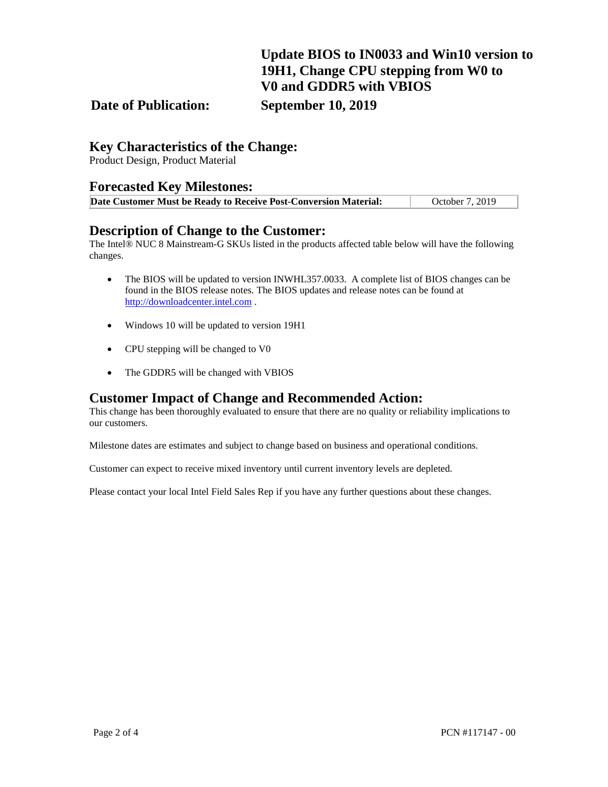## **Update BIOS to IN0033 and Win10 version to 19H1, Change CPU stepping from W0 to V0 and GDDR5 with VBIOS**

#### **Date of Publication: September 10, 2019**

#### **Key Characteristics of the Change:**

Product Design, Product Material

#### **Forecasted Key Milestones:**

| Date Customer Must be Ready to Receive Post-Conversion Material: | October 7, 2019 |
|------------------------------------------------------------------|-----------------|

#### **Description of Change to the Customer:**

The Intel® NUC 8 Mainstream-G SKUs listed in the products affected table below will have the following changes.

- The BIOS will be updated to version INWHL357.0033. A complete list of BIOS changes can be found in the BIOS release notes. The BIOS updates and release notes can be found at [http://downloadcenter.intel.com](http://downloadcenter.intel.com/) .
- Windows 10 will be updated to version 19H1
- CPU stepping will be changed to V0
- The GDDR5 will be changed with VBIOS

#### **Customer Impact of Change and Recommended Action:**

This change has been thoroughly evaluated to ensure that there are no quality or reliability implications to our customers.

Milestone dates are estimates and subject to change based on business and operational conditions.

Customer can expect to receive mixed inventory until current inventory levels are depleted.

Please contact your local Intel Field Sales Rep if you have any further questions about these changes.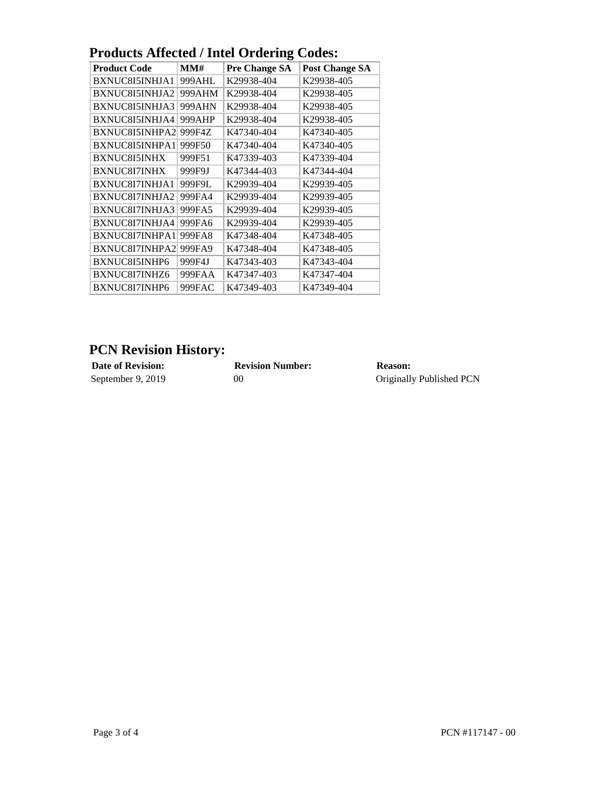| I Tougles Antitud / milli Orgening<br>vvuts. |        |                      |                       |  |
|----------------------------------------------|--------|----------------------|-----------------------|--|
| <b>Product Code</b>                          | MMH    | <b>Pre Change SA</b> | <b>Post Change SA</b> |  |
| BXNUC8I5INHJA1                               | 999AHL | K29938-404           | K29938-405            |  |
| BXNUC8I5INHJA2                               | 999AHM | K29938-404           | K29938-405            |  |
| BXNUC8I5INHJA3                               | 999AHN | K29938-404           | K29938-405            |  |
| BXNUC8I5INHJA4                               | 999AHP | K29938-404           | K29938-405            |  |
| BXNUC8I5INHPA2                               | 999F4Z | K47340-404           | K47340-405            |  |
| BXNUC8I5INHPA1                               | 999F50 | K47340-404           | K47340-405            |  |
| <b>BXNUC8I5INHX</b>                          | 999F51 | K47339-403           | K47339-404            |  |
| <b>BXNUC8I7INHX</b>                          | 999F9J | K47344-403           | K47344-404            |  |
| BXNUC8I7INHJA1                               | 999F9L | K29939-404           | K29939-405            |  |
| BXNUC8I7INHJA2                               | 999FA4 | K29939-404           | K29939-405            |  |
| BXNUC8I7INHJA3                               | 999FA5 | K29939-404           | K29939-405            |  |
| BXNUC8I7INHJA4                               | 999FA6 | K29939-404           | K29939-405            |  |
| BXNUC8I7INHPA1                               | 999FA8 | K47348-404           | K47348-405            |  |
| BXNUC8I7INHPA2                               | 999FA9 | K47348-404           | K47348-405            |  |
| BXNUC8I5INHP6                                | 999F4J | K47343-403           | K47343-404            |  |
| BXNUC8I7INHZ6                                | 999FAA | K47347-403           | K47347-404            |  |
| BXNUC8I7INHP6                                | 999FAC | K47349-403           | K47349-404            |  |

## **Products Affected / Intel Ordering Codes:**

## **PCN Revision History:**

| <b>Date of Revision:</b> | <b>Revision Number:</b> | <b>Reason:</b>           |
|--------------------------|-------------------------|--------------------------|
| September 9, 2019        | 00                      | Originally Published PCN |